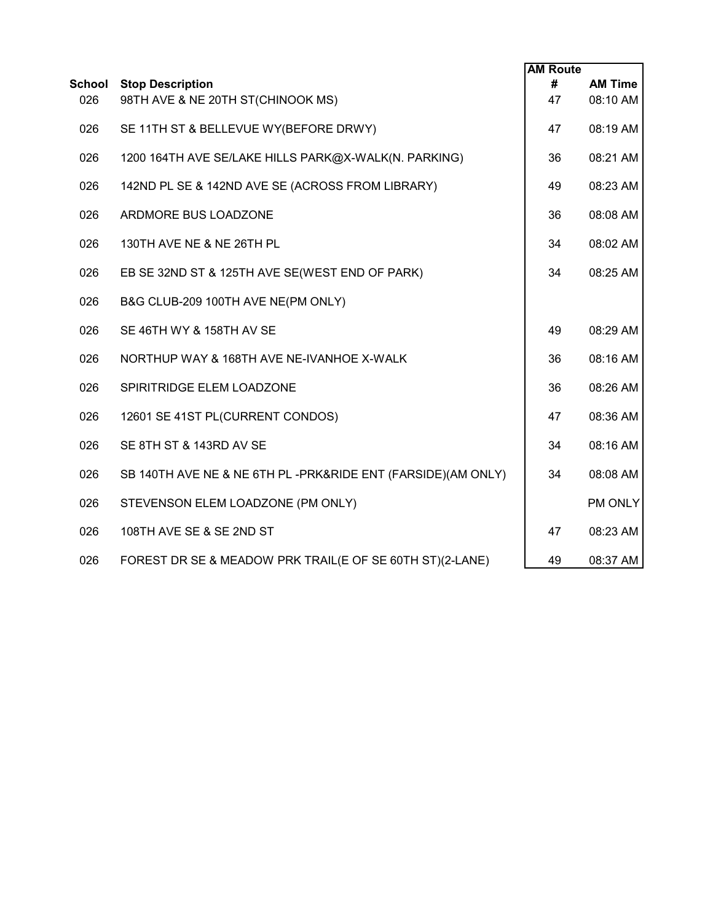|                      |                                                              | <b>AM Route</b> |                            |
|----------------------|--------------------------------------------------------------|-----------------|----------------------------|
| <b>School</b><br>026 | <b>Stop Description</b><br>98TH AVE & NE 20TH ST(CHINOOK MS) | #<br>47         | <b>AM Time</b><br>08:10 AM |
| 026                  | SE 11TH ST & BELLEVUE WY(BEFORE DRWY)                        | 47              | 08:19 AM                   |
| 026                  | 1200 164TH AVE SE/LAKE HILLS PARK@X-WALK(N. PARKING)         | 36              | 08:21 AM                   |
| 026                  | 142ND PL SE & 142ND AVE SE (ACROSS FROM LIBRARY)             | 49              | 08:23 AM                   |
| 026                  | ARDMORE BUS LOADZONE                                         | 36              | 08:08 AM                   |
| 026                  | 130TH AVE NE & NE 26TH PL                                    | 34              | 08:02 AM                   |
| 026                  | EB SE 32ND ST & 125TH AVE SE(WEST END OF PARK)               | 34              | 08:25 AM                   |
| 026                  | B&G CLUB-209 100TH AVE NE(PM ONLY)                           |                 |                            |
| 026                  | SE 46TH WY & 158TH AV SE                                     | 49              | 08:29 AM                   |
| 026                  | NORTHUP WAY & 168TH AVE NE-IVANHOE X-WALK                    | 36              | 08:16 AM                   |
| 026                  | SPIRITRIDGE ELEM LOADZONE                                    | 36              | 08:26 AM                   |
| 026                  | 12601 SE 41ST PL(CURRENT CONDOS)                             | 47              | 08:36 AM                   |
| 026                  | SE 8TH ST & 143RD AV SE                                      | 34              | 08:16 AM                   |
| 026                  | SB 140TH AVE NE & NE 6TH PL-PRK&RIDE ENT (FARSIDE)(AM ONLY)  | 34              | 08:08 AM                   |
| 026                  | STEVENSON ELEM LOADZONE (PM ONLY)                            |                 | PM ONLY                    |
| 026                  | 108TH AVE SE & SE 2ND ST                                     | 47              | 08:23 AM                   |
| 026                  | FOREST DR SE & MEADOW PRK TRAIL(E OF SE 60TH ST)(2-LANE)     | 49              | 08:37 AM                   |